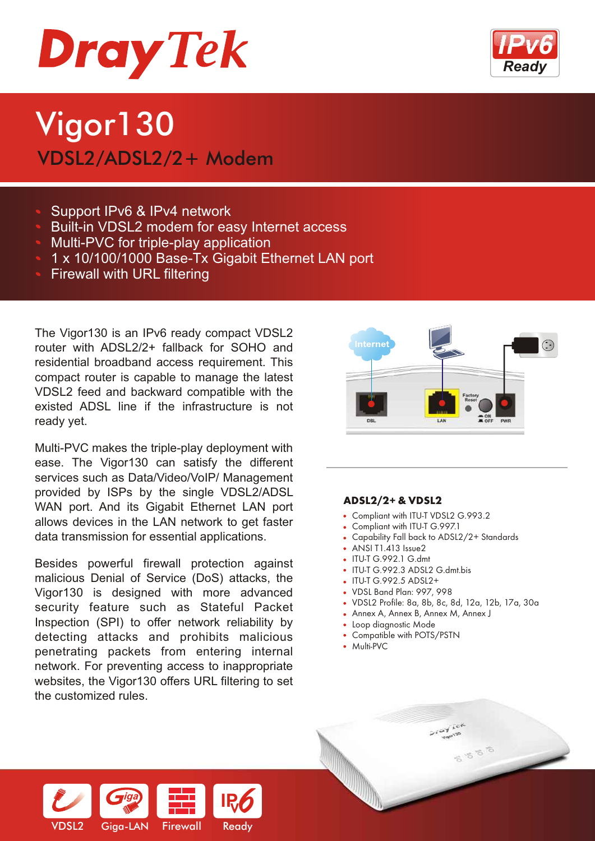

# Vigor130 VDSL2/ADSL2/2+ Modem

- Support IPv6 & IPv4 network
- Built-in VDSL2 modem for easy Internet access
- Multi-PVC for triple-play application
- 1 x 10/100/1000 Base-Tx Gigabit Ethernet LAN port
- Firewall with URL filtering

The Vigor130 is an IPv6 ready compact VDSL2 router with ADSL2/2+ fallback for SOHO and residential broadband access requirement. This compact router is capable to manage the latest VDSL2 feed and backward compatible with the existed ADSL line if the infrastructure is not ready yet.

Multi-PVC makes the triple-play deployment with ease. The Vigor130 can satisfy the different services such as Data/Video/VoIP/ Management provided by ISPs by the single VDSL2/ADSL WAN port. And its Gigabit Ethernet LAN port allows devices in the LAN network to get faster data transmission for essential applications.

Besides powerful firewall protection against malicious Denial of Service (DoS) attacks, the Vigor130 is designed with more advanced security feature such as Stateful Packet Inspection (SPI) to offer network reliability by detecting attacks and prohibits malicious penetrating packets from entering internal network. For preventing access to inappropriate websites, the Vigor130 offers URL filtering to set the customized rules.



# **ADSL2/2+ & VDSL2**

- Compliant with ITU-T VDSL2 G.993.2
- Compliant with ITU-T G.997.1
- Capability Fall back to ADSL2/2+ Standards
- ANSI T1.413 Issue2
- ITU-T G.992.1 G.dmt
- ITU-T G.992.3 ADSL2 G.dmt.bis
- ITU-T G.992.5 ADSL2+
- VDSL Band Plan: 997, 998
- VDSL2 Profile: 8a, 8b, 8c, 8d, 12a, 12b, 17a, 30a
- Annex A, Annex B, Annex M, Annex J
- Loop diagnostic Mode
- Compatible with POTS/PSTN
- Multi-PVC